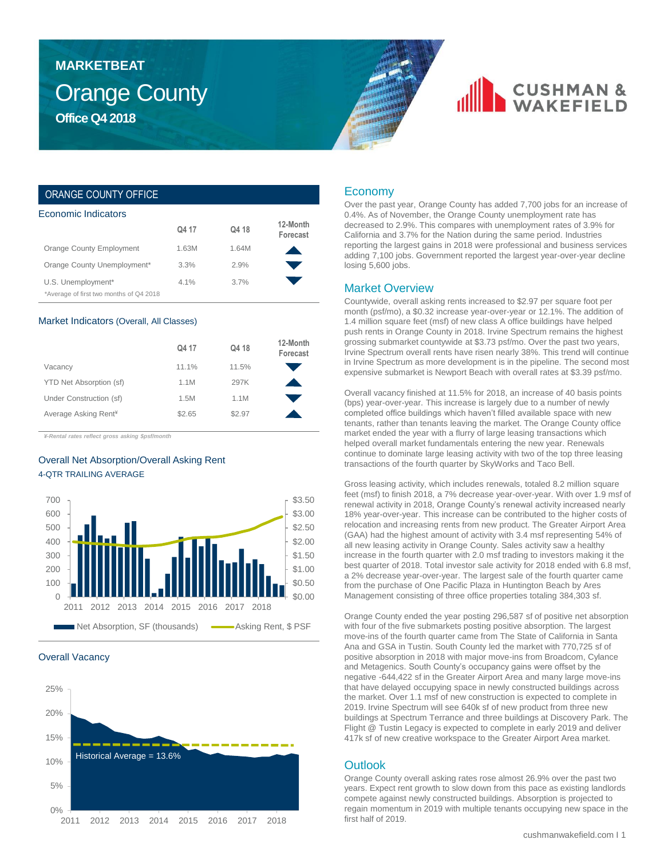### Orange County **Office Q4 2018 MARKETBEAT**

## **CUSHMAN &**

### ORANGE COUNTY OFFICE

| Economic Indicators                     |         |       |                      |  |  |  |  |
|-----------------------------------------|---------|-------|----------------------|--|--|--|--|
|                                         | Q4 17   | Q4 18 | 12-Month<br>Forecast |  |  |  |  |
| Orange County Employment                | 1.63M   | 1.64M |                      |  |  |  |  |
| Orange County Unemployment*             | 3.3%    | 2.9%  |                      |  |  |  |  |
| U.S. Unemployment*                      | $4.1\%$ | 3.7%  |                      |  |  |  |  |
| *Average of first two months of Q4 2018 |         |       |                      |  |  |  |  |

#### Market Indicators (Overall, All Classes)

|                                  | Q4 17  | Q4 18  | 12-Month<br>Forecast |
|----------------------------------|--------|--------|----------------------|
| Vacancy                          | 11.1%  | 11.5%  |                      |
| YTD Net Absorption (sf)          | 1.1M   | 297K   |                      |
| Under Construction (sf)          | 1.5M   | 1.1M   |                      |
| Average Asking Rent <sup>*</sup> | \$2.65 | \$2.97 |                      |

*¥-Rental rates reflect gross asking \$psf/month*

### Overall Net Absorption/Overall Asking Rent 4-QTR TRAILING AVERAGE



#### Overall Vacancy



### Economy

Over the past year, Orange County has added 7,700 jobs for an increase of 0.4%. As of November, the Orange County unemployment rate has decreased to 2.9%. This compares with unemployment rates of 3.9% for California and 3.7% for the Nation during the same period. Industries reporting the largest gains in 2018 were professional and business services adding 7,100 jobs. Government reported the largest year-over-year decline losing 5,600 jobs.

#### Market Overview

Countywide, overall asking rents increased to \$2.97 per square foot per month (psf/mo), a \$0.32 increase year-over-year or 12.1%. The addition of 1.4 million square feet (msf) of new class A office buildings have helped push rents in Orange County in 2018. Irvine Spectrum remains the highest grossing submarket countywide at \$3.73 psf/mo. Over the past two years, Irvine Spectrum overall rents have risen nearly 38%. This trend will continue in Irvine Spectrum as more development is in the pipeline. The second most expensive submarket is Newport Beach with overall rates at \$3.39 psf/mo.

Overall vacancy finished at 11.5% for 2018, an increase of 40 basis points (bps) year-over-year. This increase is largely due to a number of newly completed office buildings which haven't filled available space with new tenants, rather than tenants leaving the market. The Orange County office market ended the year with a flurry of large leasing transactions which helped overall market fundamentals entering the new year. Renewals continue to dominate large leasing activity with two of the top three leasing transactions of the fourth quarter by SkyWorks and Taco Bell.

Gross leasing activity, which includes renewals, totaled 8.2 million square feet (msf) to finish 2018, a 7% decrease year-over-year. With over 1.9 msf of renewal activity in 2018, Orange County's renewal activity increased nearly 18% year-over-year. This increase can be contributed to the higher costs of relocation and increasing rents from new product. The Greater Airport Area (GAA) had the highest amount of activity with 3.4 msf representing 54% of all new leasing activity in Orange County. Sales activity saw a healthy increase in the fourth quarter with 2.0 msf trading to investors making it the best quarter of 2018. Total investor sale activity for 2018 ended with 6.8 msf, a 2% decrease year-over-year. The largest sale of the fourth quarter came from the purchase of One Pacific Plaza in Huntington Beach by Ares Management consisting of three office properties totaling 384,303 sf.

Orange County ended the year posting 296,587 sf of positive net absorption with four of the five submarkets posting positive absorption. The largest move-ins of the fourth quarter came from The State of California in Santa Ana and GSA in Tustin. South County led the market with 770,725 sf of positive absorption in 2018 with major move-ins from Broadcom, Cylance and Metagenics. South County's occupancy gains were offset by the negative -644,422 sf in the Greater Airport Area and many large move-ins that have delayed occupying space in newly constructed buildings across the market. Over 1.1 msf of new construction is expected to complete in 2019. Irvine Spectrum will see 640k sf of new product from three new buildings at Spectrum Terrance and three buildings at Discovery Park. The Flight @ Tustin Legacy is expected to complete in early 2019 and deliver 417k sf of new creative workspace to the Greater Airport Area market.

### **Outlook**

Orange County overall asking rates rose almost 26.9% over the past two years. Expect rent growth to slow down from this pace as existing landlords compete against newly constructed buildings. Absorption is projected to regain momentum in 2019 with multiple tenants occupying new space in the first half of 2019.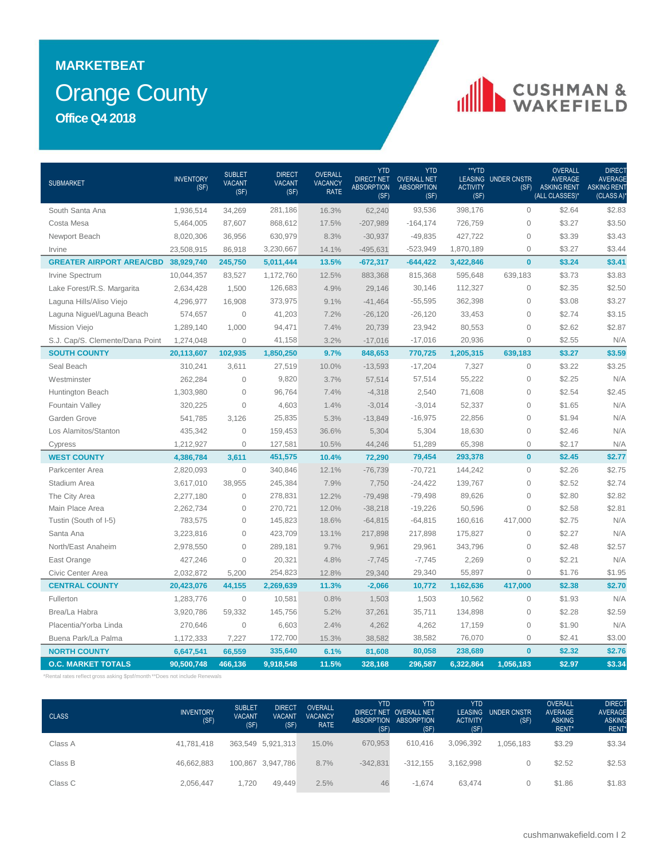### Orange County **MARKETBEAT Office Q4 2018**

# CUSHMAN &

| <b>SUBMARKET</b>                           | <b>INVENTORY</b><br>(SF) | <b>SUBLET</b><br><b>VACANT</b><br>(SF) | <b>DIRECT</b><br><b>VACANT</b><br>(SF) | <b>OVERALL</b><br><b>VACANCY</b><br><b>RATE</b> | <b>YTD</b><br><b>DIRECT NET</b><br><b>ABSORPTION</b><br>(SF) | <b>YTD</b><br><b>OVERALL NET</b><br><b>ABSORPTION</b><br>(SF) | **YTD<br><b>ACTIVITY</b><br>(SF) | LEASING UNDER CNSTR<br>(SF) | <b>OVERALL</b><br><b>AVERAGE</b><br><b>ASKING RENT</b><br>(ALL CLASSES)* | DIRECT<br><b>AVERAGE</b><br><b>ASKING RENT</b><br>(CLASS A) |
|--------------------------------------------|--------------------------|----------------------------------------|----------------------------------------|-------------------------------------------------|--------------------------------------------------------------|---------------------------------------------------------------|----------------------------------|-----------------------------|--------------------------------------------------------------------------|-------------------------------------------------------------|
| South Santa Ana                            | 1,936,514                | 34,269                                 | 281,186                                | 16.3%                                           | 62,240                                                       | 93,536                                                        | 398,176                          | $\mathbf{0}$                | \$2.64                                                                   | \$2.83                                                      |
| Costa Mesa                                 | 5,464,005                | 87,607                                 | 868,612                                | 17.5%                                           | $-207,989$                                                   | $-164, 174$                                                   | 726,759                          | $\mathbf{0}$                | \$3.27                                                                   | \$3.50                                                      |
| Newport Beach                              | 8,020,306                | 36,956                                 | 630,979                                | 8.3%                                            | $-30,937$                                                    | $-49,835$                                                     | 427,722                          | $\mathsf{O}\xspace$         | \$3.39                                                                   | \$3.43                                                      |
| Irvine                                     | 23,508,915               | 86,918                                 | 3,230,667                              | 14.1%                                           | $-495,631$                                                   | $-523,949$                                                    | 1,870,189                        | $\mathsf{O}\xspace$         | \$3.27                                                                   | \$3.44                                                      |
| <b>GREATER AIRPORT AREA/CBD 38,929,740</b> |                          | 245,750                                | 5,011,444                              | 13.5%                                           | $-672,317$                                                   | $-644,422$                                                    | 3,422,846                        | $\mathbf{0}$                | \$3.24                                                                   | \$3.41                                                      |
| Irvine Spectrum                            | 10,044,357               | 83,527                                 | 1,172,760                              | 12.5%                                           | 883,368                                                      | 815,368                                                       | 595,648                          | 639,183                     | \$3.73                                                                   | \$3.83                                                      |
| Lake Forest/R.S. Margarita                 | 2,634,428                | 1,500                                  | 126,683                                | 4.9%                                            | 29,146                                                       | 30,146                                                        | 112,327                          | $\mathsf{O}\xspace$         | \$2.35                                                                   | \$2.50                                                      |
| Laguna Hills/Aliso Viejo                   | 4,296,977                | 16,908                                 | 373,975                                | 9.1%                                            | $-41,464$                                                    | $-55,595$                                                     | 362,398                          | $\mathbf{0}$                | \$3.08                                                                   | \$3.27                                                      |
| Laguna Niguel/Laguna Beach                 | 574,657                  | $\sqrt{a}$                             | 41,203                                 | 7.2%                                            | $-26,120$                                                    | $-26,120$                                                     | 33,453                           | $\mathsf{O}\xspace$         | \$2.74                                                                   | \$3.15                                                      |
| <b>Mission Viejo</b>                       | 1,289,140                | 1,000                                  | 94,471                                 | 7.4%                                            | 20,739                                                       | 23,942                                                        | 80,553                           | $\mathsf{O}\xspace$         | \$2.62                                                                   | \$2.87                                                      |
| S.J. Cap/S. Clemente/Dana Point            | 1,274,048                | $\overline{0}$                         | 41,158                                 | 3.2%                                            | $-17,016$                                                    | $-17,016$                                                     | 20,936                           | $\mathsf{O}\xspace$         | \$2.55                                                                   | N/A                                                         |
| <b>SOUTH COUNTY</b>                        | 20,113,607               | 102,935                                | 1,850,250                              | 9.7%                                            | 848,653                                                      | 770,725                                                       | 1,205,315                        | 639,183                     | \$3.27                                                                   | \$3.59                                                      |
| Seal Beach                                 | 310,241                  | 3,611                                  | 27,519                                 | 10.0%                                           | $-13,593$                                                    | $-17,204$                                                     | 7,327                            | $\mathsf{O}\xspace$         | \$3.22                                                                   | \$3.25                                                      |
| Westminster                                | 262,284                  | $\overline{0}$                         | 9,820                                  | 3.7%                                            | 57,514                                                       | 57,514                                                        | 55,222                           | $\mathbf{O}$                | \$2.25                                                                   | N/A                                                         |
| Huntington Beach                           | 1,303,980                | $\Omega$                               | 96,764                                 | 7.4%                                            | $-4,318$                                                     | 2,540                                                         | 71,608                           | $\mathbf{O}$                | \$2.54                                                                   | \$2.45                                                      |
| Fountain Valley                            | 320,225                  | $\mathbf 0$                            | 4,603                                  | 1.4%                                            | $-3,014$                                                     | $-3,014$                                                      | 52,337                           | $\mathsf{O}\xspace$         | \$1.65                                                                   | N/A                                                         |
| Garden Grove                               | 541,785                  | 3,126                                  | 25,835                                 | 5.3%                                            | $-13,849$                                                    | $-16,975$                                                     | 22,856                           | $\mathsf{O}\xspace$         | \$1.94                                                                   | N/A                                                         |
| Los Alamitos/Stanton                       | 435,342                  | $\overline{0}$                         | 159,453                                | 36.6%                                           | 5,304                                                        | 5,304                                                         | 18,630                           | $\mathsf{O}\xspace$         | \$2.46                                                                   | N/A                                                         |
| Cypress                                    | 1,212,927                | $\mathbf 0$                            | 127,581                                | 10.5%                                           | 44,246                                                       | 51,289                                                        | 65,398                           | $\mathsf{O}\xspace$         | \$2.17                                                                   | N/A                                                         |
| <b>WEST COUNTY</b>                         | 4,386,784                | 3,611                                  | 451,575                                | 10.4%                                           | 72,290                                                       | 79,454                                                        | 293,378                          | $\mathbf{0}$                | \$2.45                                                                   | \$2.77                                                      |
| Parkcenter Area                            | 2,820,093                | $\overline{0}$                         | 340,846                                | 12.1%                                           | $-76,739$                                                    | $-70,721$                                                     | 144,242                          | $\mathsf{O}\xspace$         | \$2.26                                                                   | \$2.75                                                      |
| Stadium Area                               | 3,617,010                | 38.955                                 | 245,384                                | 7.9%                                            | 7,750                                                        | $-24,422$                                                     | 139,767                          | $\mathbf{O}$                | \$2.52                                                                   | \$2.74                                                      |
| The City Area                              | 2,277,180                | $\overline{0}$                         | 278,831                                | 12.2%                                           | $-79,498$                                                    | $-79,498$                                                     | 89,626                           | $\mathbf{O}$                | \$2.80                                                                   | \$2.82                                                      |
| Main Place Area                            | 2,262,734                | $\mathbf 0$                            | 270,721                                | 12.0%                                           | $-38,218$                                                    | $-19,226$                                                     | 50,596                           | $\mathbf{O}$                | \$2.58                                                                   | \$2.81                                                      |
| Tustin (South of I-5)                      | 783,575                  | $\mathbf 0$                            | 145,823                                | 18.6%                                           | $-64,815$                                                    | $-64,815$                                                     | 160,616                          | 417,000                     | \$2.75                                                                   | N/A                                                         |
| Santa Ana                                  | 3,223,816                | $\overline{0}$                         | 423,709                                | 13.1%                                           | 217,898                                                      | 217,898                                                       | 175,827                          | $\mathsf{O}\xspace$         | \$2.27                                                                   | N/A                                                         |
| North/East Anaheim                         | 2,978,550                | $\mathbf 0$                            | 289,181                                | 9.7%                                            | 9,961                                                        | 29,961                                                        | 343,796                          | $\mathsf{O}\xspace$         | \$2.48                                                                   | \$2.57                                                      |
| East Orange                                | 427,246                  | $\mathbf 0$                            | 20,321                                 | 4.8%                                            | $-7,745$                                                     | $-7,745$                                                      | 2,269                            | $\mathsf{O}\xspace$         | \$2.21                                                                   | N/A                                                         |
| Civic Center Area                          | 2,032,872                | 5,200                                  | 254,823                                | 12.8%                                           | 29,340                                                       | 29,340                                                        | 55,897                           | $\mathsf{O}\xspace$         | \$1.76                                                                   | \$1.95                                                      |
| <b>CENTRAL COUNTY</b>                      | 20,423,076               | 44,155                                 | 2,269,639                              | 11.3%                                           | $-2,066$                                                     | 10,772                                                        | 1,162,636                        | 417,000                     | \$2.38                                                                   | \$2.70                                                      |
| Fullerton                                  | 1,283,776                | $\mathbf{0}$                           | 10,581                                 | 0.8%                                            | 1,503                                                        | 1,503                                                         | 10,562                           | $\mathbf 0$                 | \$1.93                                                                   | N/A                                                         |
| Brea/La Habra                              | 3,920,786                | 59,332                                 | 145,756                                | 5.2%                                            | 37,261                                                       | 35,711                                                        | 134,898                          | $\mathsf{O}\xspace$         | \$2.28                                                                   | \$2.59                                                      |
| Placentia/Yorba Linda                      | 270,646                  | $\mathbf 0$                            | 6,603                                  | 2.4%                                            | 4,262                                                        | 4,262                                                         | 17,159                           | $\mathsf{O}\xspace$         | \$1.90                                                                   | N/A                                                         |
| Buena Park/La Palma                        | 1,172,333                | 7,227                                  | 172,700                                | 15.3%                                           | 38,582                                                       | 38,582                                                        | 76,070                           | $\mathbf{O}$                | \$2.41                                                                   | \$3.00                                                      |
| <b>NORTH COUNTY</b>                        | 6,647,541                | 66,559                                 | 335,640                                | 6.1%                                            | 81,608                                                       | 80,058                                                        | 238,689                          | $\mathbf{0}$                | \$2.32                                                                   | \$2.76                                                      |
| <b>O.C. MARKET TOTALS</b>                  | 90,500,748               | 466,136                                | 9,918,548                              | 11.5%                                           | 328,168                                                      | 296,587                                                       | 6,322,864                        | 1,056,183                   | \$2.97                                                                   | \$3.34                                                      |

\*Rental rates reflect gross asking \$psf/month \*\*Does not include Renewals

| <b>CLASS</b> | <b>INVENTORY</b><br>(SF) | <b>SUBLET</b><br><b>VACANT</b><br>(SF) | <b>DIRECT</b><br><b>VACANT</b><br>(SF) | <b>OVERALL</b><br><b>VACANCY</b><br>RATE | <b>YTD</b><br>(SF) | <b>YTD</b><br>DIRECT NET OVERALL NET<br>ABSORPTION ABSORPTION<br>(SF) | <b>YTD</b><br>LEASING<br><b>ACTIVITY</b><br>(SF) | UNDER CNSTR<br>(SF) | <b>OVERALL</b><br><b>AVERAGE</b><br><b>ASKING</b><br>RENT* | <b>DIRECT</b><br><b>AVERAGE</b><br><b>ASKING</b><br>RENT' |
|--------------|--------------------------|----------------------------------------|----------------------------------------|------------------------------------------|--------------------|-----------------------------------------------------------------------|--------------------------------------------------|---------------------|------------------------------------------------------------|-----------------------------------------------------------|
| Class A      | 41.781.418               |                                        | 363,549 5,921,313                      | 15.0%                                    | 670,953            | 610.416                                                               | 3,096,392                                        | 1.056.183           | \$3.29                                                     | \$3.34                                                    |
| Class B      | 46.662.883               |                                        | 100,867 3,947,786                      | 8.7%                                     | $-342.831$         | $-312.155$                                                            | 3.162.998                                        |                     | \$2.52                                                     | \$2.53                                                    |
| Class C      | 2,056,447                | 1.720                                  | 49.449                                 | 2.5%                                     | 46                 | $-1.674$                                                              | 63.474                                           |                     | \$1.86                                                     | \$1.83                                                    |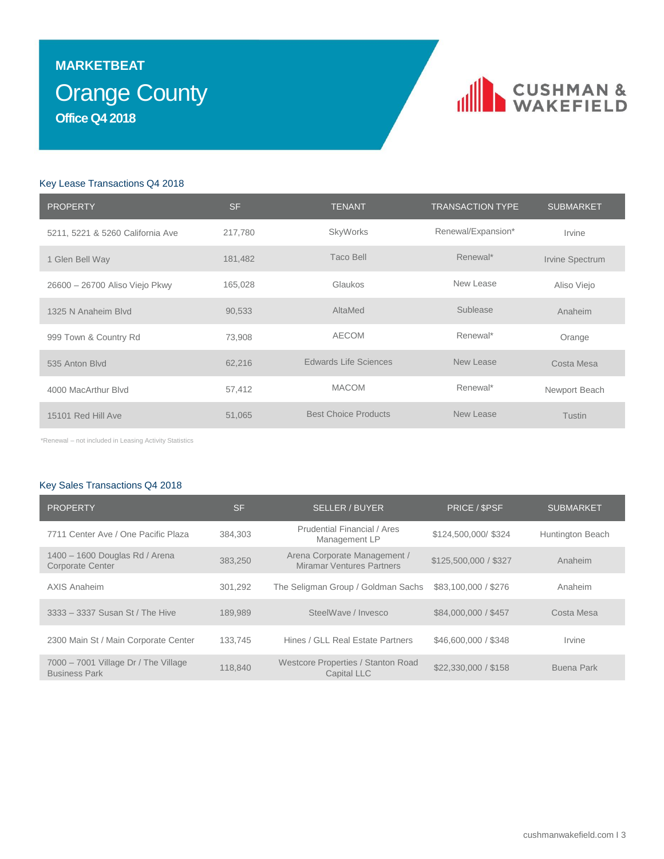### **Orange County MARKETBEAT Office Q4 2018**

### CUSHMAN &

### Key Lease Transactions Q4 2018

| <b>PROPERTY</b>                  | <b>SF</b> | <b>TENANT</b>               | <b>TRANSACTION TYPE</b> | <b>SUBMARKET</b> |
|----------------------------------|-----------|-----------------------------|-------------------------|------------------|
| 5211, 5221 & 5260 California Ave | 217,780   | <b>SkyWorks</b>             | Renewal/Expansion*      | Irvine           |
| 1 Glen Bell Way                  | 181,482   | Taco Bell                   | Renewal*                | Irvine Spectrum  |
| 26600 - 26700 Aliso Viejo Pkwy   | 165,028   | Glaukos                     | New Lease               | Aliso Viejo      |
| 1325 N Anaheim Blvd              | 90,533    | AltaMed                     | Sublease                | Anaheim          |
| 999 Town & Country Rd            | 73,908    | <b>AECOM</b>                | Renewal*                | Orange           |
| 535 Anton Blvd                   | 62,216    | Edwards Life Sciences       | New Lease               | Costa Mesa       |
| 4000 MacArthur Blvd              | 57,412    | <b>MACOM</b>                | Renewal*                | Newport Beach    |
| 15101 Red Hill Ave               | 51,065    | <b>Best Choice Products</b> | New Lease               | Tustin           |

\*Renewal – not included in Leasing Activity Statistics

### Key Sales Transactions Q4 2018

| <b>PROPERTY</b>                                              | <b>SF</b> | <b>SELLER / BUYER</b>                                            | PRICE / \$PSF         | <b>SUBMARKET</b> |
|--------------------------------------------------------------|-----------|------------------------------------------------------------------|-----------------------|------------------|
| 7711 Center Ave / One Pacific Plaza                          | 384,303   | Prudential Financial / Ares<br>Management LP                     | \$124,500,000/\$324   | Huntington Beach |
| 1400 - 1600 Douglas Rd / Arena<br><b>Corporate Center</b>    | 383.250   | Arena Corporate Management /<br><b>Miramar Ventures Partners</b> | \$125,500,000 / \$327 | Anaheim          |
| AXIS Anaheim                                                 | 301,292   | The Seligman Group / Goldman Sachs                               | \$83,100,000 / \$276  | Anaheim          |
| 3333 - 3337 Susan St / The Hive                              | 189.989   | SteelWave / Invesco                                              | \$84,000,000 / \$457  | Costa Mesa       |
| 2300 Main St / Main Corporate Center                         | 133.745   | Hines / GLL Real Estate Partners                                 | \$46,600,000 / \$348  | Irvine           |
| 7000 - 7001 Village Dr / The Village<br><b>Business Park</b> | 118,840   | Westcore Properties / Stanton Road<br><b>Capital LLC</b>         | \$22,330,000 / \$158  | Buena Park       |